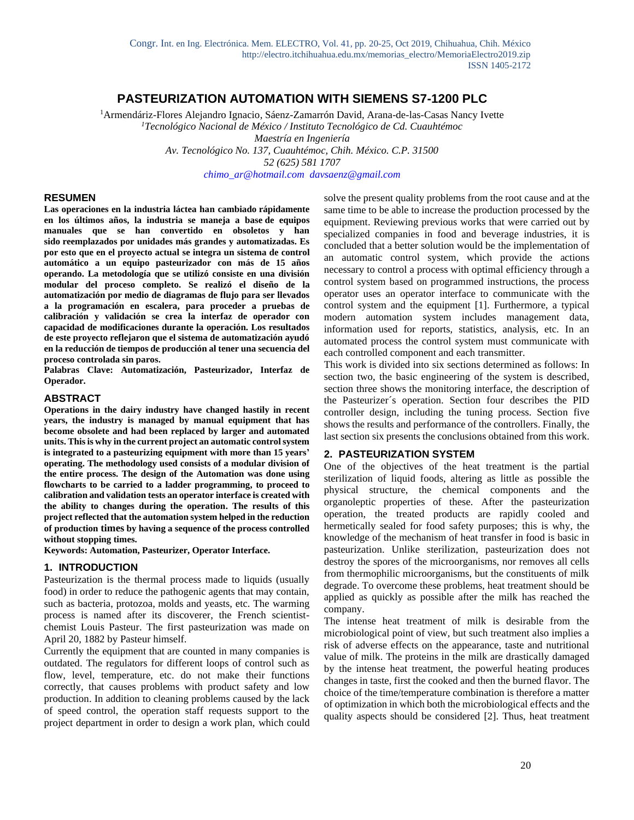# **PASTEURIZATION AUTOMATION WITH SIEMENS S7-1200 PLC**

<sup>1</sup>Armendáriz-Flores Alejandro Ignacio, Sáenz-Zamarrón David, Arana-de-las-Casas Nancy Ivette *<sup>1</sup>Tecnológico Nacional de México / Instituto Tecnológico de Cd. Cuauhtémoc Maestría en Ingeniería Av. Tecnológico No. 137, Cuauhtémoc, Chih. México. C.P. 31500 52 (625) 581 1707 [chimo\\_ar@hotmail.com](mailto:chimo_ar@hotmail.com) davsaenz@gmail.com*

#### **RESUMEN**

**Las operaciones en la industria láctea han cambiado rápidamente en los últimos años, la industria se maneja a base de equipos manuales que se han convertido en obsoletos y han sido reemplazados por unidades más grandes y automatizadas. Es por esto que en el proyecto actual se integra un sistema de control automático a un equipo pasteurizador con más de 15 años operando. La metodología que se utilizó consiste en una división modular del proceso completo. Se realizó el diseño de la automatización por medio de diagramas de flujo para ser llevados a la programación en escalera, para proceder a pruebas de calibración y validación se crea la interfaz de operador con capacidad de modificaciones durante la operación. Los resultados de este proyecto reflejaron que el sistema de automatización ayudó en la reducción de tiempos de producción al tener una secuencia del proceso controlada sin paros.**

**Palabras Clave: Automatización, Pasteurizador, Interfaz de Operador.**

#### **ABSTRACT**

**Operations in the dairy industry have changed hastily in recent years, the industry is managed by manual equipment that has become obsolete and had been replaced by larger and automated units. This is why in the current project an automatic control system is integrated to a pasteurizing equipment with more than 15 years' operating. The methodology used consists of a modular division of the entire process. The design of the Automation was done using flowcharts to be carried to a ladder programming, to proceed to calibration and validation tests an operator interface is created with the ability to changes during the operation. The results of this project reflected that the automation system helped in the reduction of production times by having a sequence of the process controlled without stopping times.**

**Keywords: Automation, Pasteurizer, Operator Interface.**

#### **1. INTRODUCTION**

Pasteurization is the thermal process made to liquids (usually food) in order to reduce the pathogenic agents that may contain, such as bacteria, protozoa, molds and yeasts, etc. The warming process is named after its discoverer, the French scientistchemist Louis Pasteur. The first pasteurization was made on April 20, 1882 by Pasteur himself.

Currently the equipment that are counted in many companies is outdated. The regulators for different loops of control such as flow, level, temperature, etc. do not make their functions correctly, that causes problems with product safety and low production. In addition to cleaning problems caused by the lack of speed control, the operation staff requests support to the project department in order to design a work plan, which could solve the present quality problems from the root cause and at the same time to be able to increase the production processed by the equipment. Reviewing previous works that were carried out by specialized companies in food and beverage industries, it is concluded that a better solution would be the implementation of an automatic control system, which provide the actions necessary to control a process with optimal efficiency through a control system based on programmed instructions, the process operator uses an operator interface to communicate with the control system and the equipment [1]. Furthermore, a typical modern automation system includes management data, information used for reports, statistics, analysis, etc. In an automated process the control system must communicate with each controlled component and each transmitter.

This work is divided into six sections determined as follows: In section two, the basic engineering of the system is described, section three shows the monitoring interface, the description of the Pasteurizer´s operation. Section four describes the PID controller design, including the tuning process. Section five shows the results and performance of the controllers. Finally, the last section six presents the conclusions obtained from this work.

#### **2. PASTEURIZATION SYSTEM**

One of the objectives of the heat treatment is the partial sterilization of liquid foods, altering as little as possible the physical structure, the chemical components and the organoleptic properties of these. After the pasteurization operation, the treated products are rapidly cooled and hermetically sealed for food safety purposes; this is why, the knowledge of the mechanism of heat transfer in food is basic in pasteurization. Unlike sterilization, pasteurization does not destroy the spores of the microorganisms, nor removes all cells from thermophilic microorganisms, but the constituents of milk degrade. To overcome these problems, heat treatment should be applied as quickly as possible after the milk has reached the company.

The intense heat treatment of milk is desirable from the microbiological point of view, but such treatment also implies a risk of adverse effects on the appearance, taste and nutritional value of milk. The proteins in the milk are drastically damaged by the intense heat treatment, the powerful heating produces changes in taste, first the cooked and then the burned flavor. The choice of the time/temperature combination is therefore a matter of optimization in which both the microbiological effects and the quality aspects should be considered [2]. Thus, heat treatment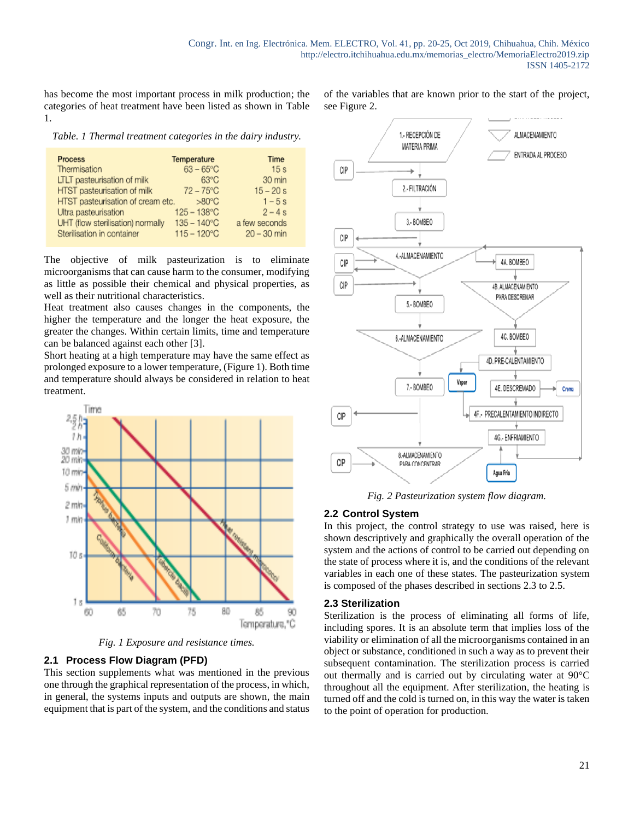has become the most important process in milk production; the categories of heat treatment have been listed as shown in Table 1.

of the variables that are known prior to the start of the project, see Figure 2.

*Table. 1 Thermal treatment categories in the dairy industry.*

| <b>Process</b>                    | Temperature           | Time            |
|-----------------------------------|-----------------------|-----------------|
| Thermisation                      | $63 - 65^{\circ}$ C   | 15 <sub>s</sub> |
| LTLT pasteurisation of milk       | $63^{\circ}$ C        | 30 min          |
| HTST pasteurisation of milk       | $72 - 75^{\circ}$ C   | $15 - 20 s$     |
| HTST pasteurisation of cream etc. | $>80^{\circ}$ C       | $1 - 5s$        |
| Ultra pasteurisation              | $125 - 138$ °C        | $2 - 4s$        |
| UHT (flow sterilisation) normally | $135 - 140^{\circ}$ C | a few seconds   |
| Sterilisation in container        | $115 - 120^{\circ}$ C | $20 - 30$ min   |

The objective of milk pasteurization is to eliminate microorganisms that can cause harm to the consumer, modifying as little as possible their chemical and physical properties, as well as their nutritional characteristics.

Heat treatment also causes changes in the components, the higher the temperature and the longer the heat exposure, the greater the changes. Within certain limits, time and temperature can be balanced against each other [3].

Short heating at a high temperature may have the same effect as prolonged exposure to a lower temperature, (Figure 1). Both time and temperature should always be considered in relation to heat treatment.



*Fig. 1 Exposure and resistance times.*

## **2.1 Process Flow Diagram (PFD)**

This section supplements what was mentioned in the previous one through the graphical representation of the process, in which, in general, the systems inputs and outputs are shown, the main equipment that is part of the system, and the conditions and status



*Fig. 2 Pasteurization system flow diagram.*

#### **2.2 Control System**

In this project, the control strategy to use was raised, here is shown descriptively and graphically the overall operation of the system and the actions of control to be carried out depending on the state of process where it is, and the conditions of the relevant variables in each one of these states. The pasteurization system is composed of the phases described in sections 2.3 to 2.5.

#### **2.3 Sterilization**

Sterilization is the process of eliminating all forms of life, including spores. It is an absolute term that implies loss of the viability or elimination of all the microorganisms contained in an object or substance, conditioned in such a way as to prevent their subsequent contamination. The sterilization process is carried out thermally and is carried out by circulating water at 90°C throughout all the equipment. After sterilization, the heating is turned off and the cold is turned on, in this way the water is taken to the point of operation for production.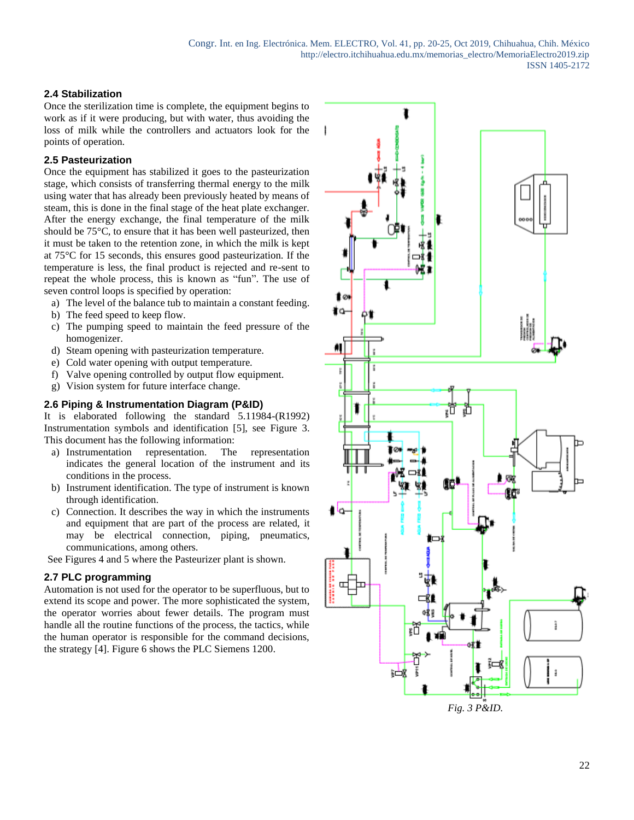## **2.4 Stabilization**

Once the sterilization time is complete, the equipment begins to work as if it were producing, but with water, thus avoiding the loss of milk while the controllers and actuators look for the points of operation.

## **2.5 Pasteurization**

Once the equipment has stabilized it goes to the pasteurization stage, which consists of transferring thermal energy to the milk using water that has already been previously heated by means of steam, this is done in the final stage of the heat plate exchanger. After the energy exchange, the final temperature of the milk should be 75°C, to ensure that it has been well pasteurized, then it must be taken to the retention zone, in which the milk is kept at 75°C for 15 seconds, this ensures good pasteurization. If the temperature is less, the final product is rejected and re-sent to repeat the whole process, this is known as "fun". The use of seven control loops is specified by operation:

- a) The level of the balance tub to maintain a constant feeding.
- b) The feed speed to keep flow.
- c) The pumping speed to maintain the feed pressure of the homogenizer.
- d) Steam opening with pasteurization temperature.
- e) Cold water opening with output temperature.
- f) Valve opening controlled by output flow equipment.
- g) Vision system for future interface change.

# **2.6 Piping & Instrumentation Diagram (P&ID)**

It is elaborated following the standard 5.11984-(R1992) Instrumentation symbols and identification [5], see Figure 3. This document has the following information:

- a) Instrumentation representation. The representation indicates the general location of the instrument and its conditions in the process.
- b) Instrument identification. The type of instrument is known through identification.
- c) Connection. It describes the way in which the instruments and equipment that are part of the process are related, it may be electrical connection, piping, pneumatics, communications, among others.

See Figures 4 and 5 where the Pasteurizer plant is shown.

### **2.7 PLC programming**

Automation is not used for the operator to be superfluous, but to extend its scope and power. The more sophisticated the system, the operator worries about fewer details. The program must handle all the routine functions of the process, the tactics, while the human operator is responsible for the command decisions, the strategy [4]. Figure 6 shows the PLC Siemens 1200.

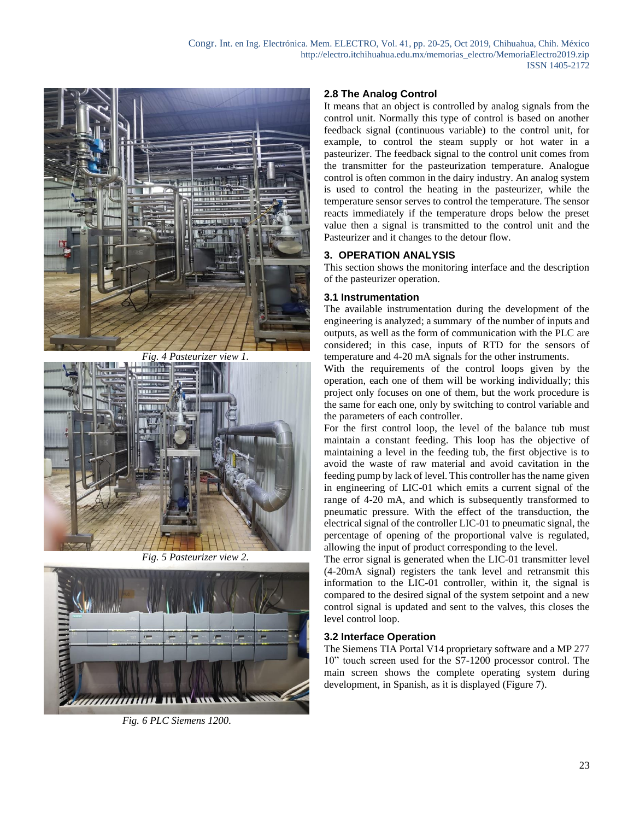

*Fig. 4 Pasteurizer view 1.*



*Fig. 5 Pasteurizer view 2.*



*Fig. 6 PLC Siemens 1200.*

### **2.8 The Analog Control**

It means that an object is controlled by analog signals from the control unit. Normally this type of control is based on another feedback signal (continuous variable) to the control unit, for example, to control the steam supply or hot water in a pasteurizer. The feedback signal to the control unit comes from the transmitter for the pasteurization temperature. Analogue control is often common in the dairy industry. An analog system is used to control the heating in the pasteurizer, while the temperature sensor serves to control the temperature. The sensor reacts immediately if the temperature drops below the preset value then a signal is transmitted to the control unit and the Pasteurizer and it changes to the detour flow.

### **3. OPERATION ANALYSIS**

This section shows the monitoring interface and the description of the pasteurizer operation.

#### **3.1 Instrumentation**

The available instrumentation during the development of the engineering is analyzed; a summary of the number of inputs and outputs, as well as the form of communication with the PLC are considered; in this case, inputs of RTD for the sensors of temperature and 4-20 mA signals for the other instruments.

With the requirements of the control loops given by the operation, each one of them will be working individually; this project only focuses on one of them, but the work procedure is the same for each one, only by switching to control variable and the parameters of each controller.

For the first control loop, the level of the balance tub must maintain a constant feeding. This loop has the objective of maintaining a level in the feeding tub, the first objective is to avoid the waste of raw material and avoid cavitation in the feeding pump by lack of level. This controller has the name given in engineering of LIC-01 which emits a current signal of the range of 4-20 mA, and which is subsequently transformed to pneumatic pressure. With the effect of the transduction, the electrical signal of the controller LIC-01 to pneumatic signal, the percentage of opening of the proportional valve is regulated, allowing the input of product corresponding to the level.

The error signal is generated when the LIC-01 transmitter level (4-20mA signal) registers the tank level and retransmit this information to the LIC-01 controller, within it, the signal is compared to the desired signal of the system setpoint and a new control signal is updated and sent to the valves, this closes the level control loop.

### **3.2 Interface Operation**

The Siemens TIA Portal V14 proprietary software and a MP 277 10" touch screen used for the S7-1200 processor control. The main screen shows the complete operating system during development, in Spanish, as it is displayed (Figure 7).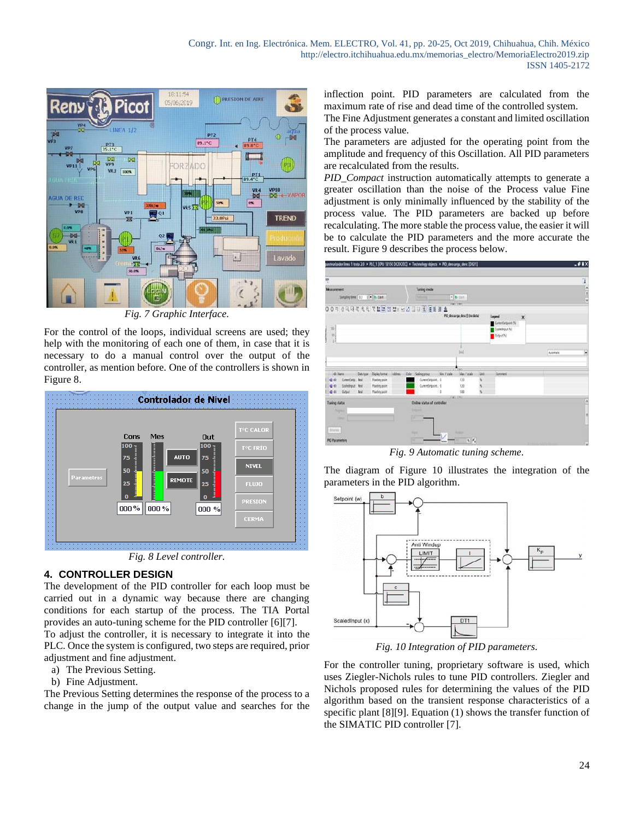

*Fig. 7 Graphic Interface.*

For the control of the loops, individual screens are used; they help with the monitoring of each one of them, in case that it is necessary to do a manual control over the output of the controller, as mention before. One of the controllers is shown in Figure 8.



*Fig. 8 Level controller.*

### **4. CONTROLLER DESIGN**

The development of the PID controller for each loop must be carried out in a dynamic way because there are changing conditions for each startup of the process. The TIA Portal provides an auto-tuning scheme for the PID controller [6][7].

To adjust the controller, it is necessary to integrate it into the PLC. Once the system is configured, two steps are required, prior adjustment and fine adjustment.

- a) The Previous Setting.
- b) Fine Adjustment.

The Previous Setting determines the response of the process to a change in the jump of the output value and searches for the

inflection point. PID parameters are calculated from the maximum rate of rise and dead time of the controlled system.

The Fine Adjustment generates a constant and limited oscillation of the process value.

The parameters are adjusted for the operating point from the amplitude and frequency of this Oscillation. All PID parameters are recalculated from the results.

*PID\_Compact* instruction automatically attempts to generate a greater oscillation than the noise of the Process value Fine adjustment is only minimally influenced by the stability of the process value. The PID parameters are backed up before recalculating. The more stable the process value, the easier it will be to calculate the PID parameters and the more accurate the result. Figure 9 describes the process below.



*Fig. 9 Automatic tuning scheme.*

The diagram of Figure 10 illustrates the integration of the parameters in the PID algorithm.



*Fig. 10 Integration of PID parameters.*

For the controller tuning, proprietary software is used, which uses Ziegler-Nichols rules to tune PID controllers. Ziegler and Nichols proposed rules for determining the values of the PID algorithm based on the transient response characteristics of a specific plant [8][9]. Equation (1) shows the transfer function of the SIMATIC PID controller [7].